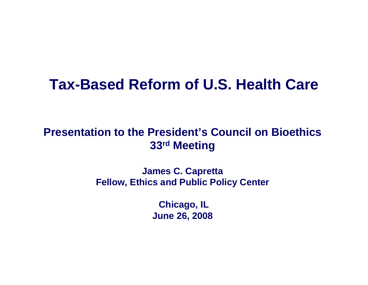#### **Tax-Based Reform of U.S. Health Care**

#### **Presentation to the President's Council on Bioethics33rd Meeting**

**James C. Capretta Fellow, Ethics and Public Policy Center**

> **Chicago, IL June 26, 2008**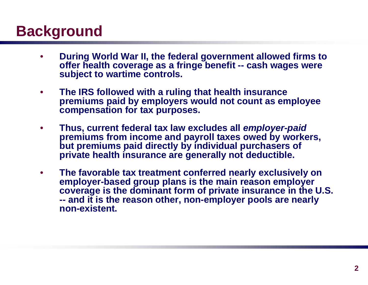## **Background**

- • **During World War II, the federal government allowed firms to offer health coverage as a fringe benefit -- cash wages were subject to wartime controls.**
- • **The IRS followed with a ruling that health insurance premiums paid by employers would not count as employee compensation for tax purposes.**
- • **Thus, current federal tax law excludes all** *employer-paid* **premiums from income and payroll taxes owed by workers, but premiums paid directly by individual purchasers of private health insurance are generally not deductible.**
- • **The favorable tax treatment conferred nearly exclusively on employer-based group plans is the main reason employer coverage is the dominant form of private insurance in the U.S. -- and it is the reason other, non-employer pools are nearly non-existent.**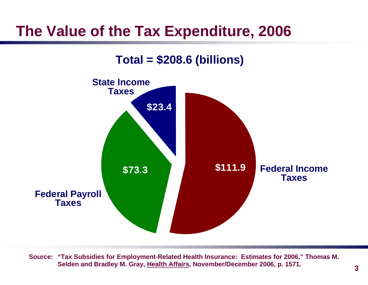### **The Value of the Tax Expenditure, 2006**

#### **Total = \$208.6 (billions)**



**Source: "Tax Subsidies for Employment-Related Health Insurance: Estimates for 2006," Thomas M. Selden and Bradley M. Gray, Health Affairs, November/December 2006, p. 1571.**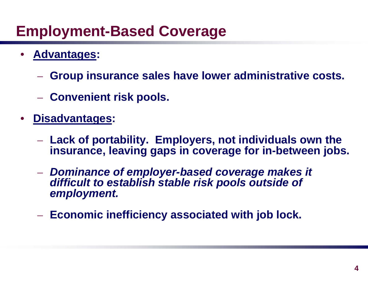### **Employment-Based Coverage**

- • **Advantages:**
	- **Group insurance sales have lower administrative costs.**
	- $-$  Convenient risk pools.
- • **Disadvantages:**
	- **Lack of portability. Employers, not individuals own the insurance, leaving gaps in coverage for in-between jobs.**
	- *Dominance of employer-based coverage makes it difficult to establish stable risk pools outside of employment.*
	- **Economic inefficiency associated with job lock.**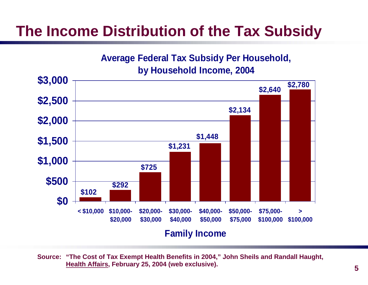## **The Income Distribution of the Tax Subsidy**

**Average Federal Tax Subsidy Per Household, by Household Income, 2004**



**Source: "The Cost of Tax Exempt Health Benefits in 2004," John Sheils and Randall Haught, Health Affairs, February 25, 2004 (web exclusive).**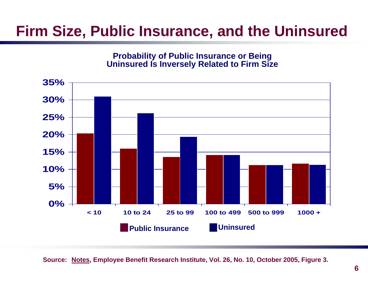#### **Firm Size, Public Insurance, and the Uninsured**

**Probability of Public Insurance or Being Uninsured Is Inversely Related to Firm Size**



**Source: Notes, Employee Benefit Research Institute, Vol. 26, No. 10, October 2005, Figure 3.**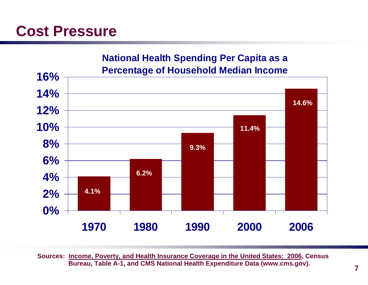#### **Cost Pressure**



**Sources: Income, Poverty, and Health Insurance Coverage in the United States: 2006, Census Bureau, Table A-1, and CMS National Health Expenditure Data (www.cms.gov).**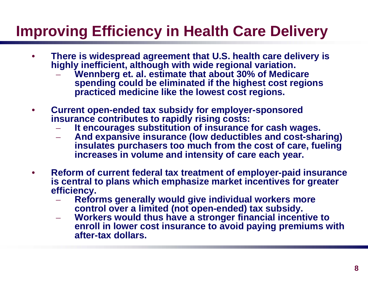## **Improving Efficiency in Health Care Delivery**

- • **There is widespread agreement that U.S. health care delivery is highly inefficient, although with wide regional variation.**
	- **Wennberg et. al. estimate that about 30% of Medicare spending could be eliminated if the highest cost regions practiced medicine like the lowest cost regions.**
- $\bullet$  **Current open-ended tax subsidy for employer-sponsored insurance contributes to rapidly rising costs:**
	- **It encourages substitution of insurance for cash wages.**
	- **And expansive insurance (low deductibles and cost-sharing) insulates purchasers too much from the cost of care, fueling increases in volume and intensity of care each year.**
- • **Reform of current federal tax treatment of employer-paid insurance is central to plans which emphasize market incentives for greater efficiency.**
	- **Reforms generally would give individual workers more control over a limited (not open-ended) tax subsidy.**
	- **Workers would thus have a stronger financial incentive to enroll in lower cost insurance to avoid paying premiums with after-tax dollars.**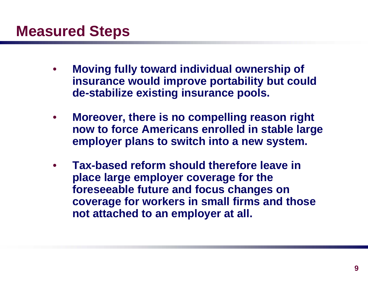- • **Moving fully toward individual ownership of insurance would improve portability but could de-stabilize existing insurance pools.**
- • **Moreover, there is no compelling reason right now to force Americans enrolled in stable large employer plans to switch into a new system.**
- • **Tax-based reform should therefore leave in place large employer coverage for the foreseeable future and focus changes on coverage for workers in small firms and those not attached to an employer at all.**